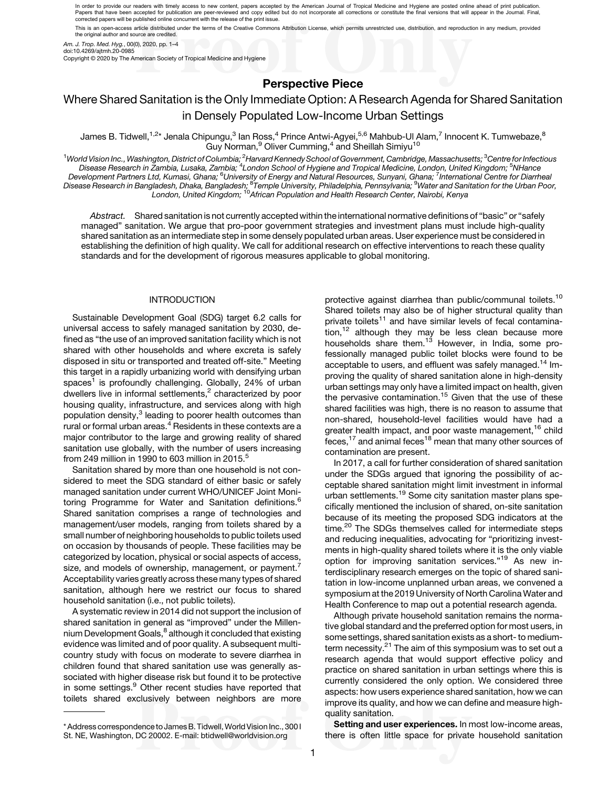In order to provide our readers with timely access to new content, papers accepted by the American Journal of Tropical Medicine and Hygiene are posted online ahead of print publication. Papers that have been accepted for publication are peer-reviewed and copy edited but do not incorporate all corrections or constitute the final versions that will appear in the Journal. Final,<br>corrected papers will be publ This is an open-access article distributed under the terms of the Creative Commons Attribution License, which permits unrestricted use, distribution, and reproduction in any medium, provided

the original author and source are credited.

Am. J. Trop. Med. Hyg., 00(0), 2020, pp. 1–4

doi:10.4269/ajtmh.20-0985

Copyright © 2020 by The American Society of Tropical Medicine and Hygiene

## Perspective Piece

# Where Shared Sanitation is the Only Immediate Option: A Research Agenda for Shared Sanitation in Densely Populated Low-Income Urban Settings

James B. Tidwell,<sup>1,2</sup>\* Jenala Chipungu,<sup>3</sup> Ian Ross,<sup>4</sup> Prince Antwi-Agyei,<sup>5,6</sup> Mahbub-Ul Alam,<sup>7</sup> Innocent K. Tumwebaze,<sup>8</sup> Guy Norman, $^9$  Oliver Cumming, $^4$  and Sheillah Simiyu $^{10}$ 

 $^1$ World Vision Inc., Washington, District of Columbia; $^2$ Harvard Kennedy School of Government, Cambridge, Massachusetts; $^3$ Centre for Infectious Disease Research in Žambia, Lusaka, Zambia; <sup>4</sup>London School of Hygiene and Tropical Medicine, London, United Kingdom; <sup>5</sup>NHance Development Partners Ltd, Kumasi, Ghana; <sup>6</sup>University of Energy and Natural Resources, Sunyani, Ghana; <sup>7</sup>International Centre for Diarrheal Disease Research in Bangladesh, Dhaka, Bangladesh; <sup>8</sup>Temple University, Philadelphia, Pennsylvania; <sup>9</sup>Water and Sanitation for the Urban Poor,<br>London, United Kingdom; <sup>10</sup>African Population and Health Research Center, Na

Abstract. Shared sanitation is not currently accepted within the international normative definitions of "basic" or "safely managed" sanitation. We argue that pro-poor government strategies and investment plans must include high-quality shared sanitation as an intermediate step in some densely populated urban areas. User experience must be considered in establishing the definition of high quality. We call for additional research on effective interventions to reach these quality standards and for the development of rigorous measures applicable to global monitoring.

### INTRODUCTION

Sustainable Development Goal (SDG) target 6.2 calls for universal access to safely managed sanitation by 2030, defined as "the use of an improved sanitation facility which is not shared with other households and where excreta is safely disposed in situ or transported and treated off-site." Meeting this target in a rapidly urbanizing world with densifying urban spaces<sup>1</sup> is profoundly challenging. Globally, 24% of urban dwellers live in informal settlements,<sup>[2](#page-2-0)</sup> characterized by poor housing quality, infrastructure, and services along with high population density,<sup>[3](#page-2-0)</sup> leading to poorer health outcomes than rural or formal urban areas.<sup>[4](#page-2-0)</sup> Residents in these contexts are a major contributor to the large and growing reality of shared sanitation use globally, with the number of users increasing from 249 million in 1990 to 603 million in 201[5](#page-2-0).<sup>5</sup>

Sanitation shared by more than one household is not considered to meet the SDG standard of either basic or safely managed sanitation under current WHO/UNICEF Joint Moni-toring Programme for Water and Sanitation definitions.<sup>[6](#page-2-0)</sup> Shared sanitation comprises a range of technologies and management/user models, ranging from toilets shared by a small number of neighboring households to public toilets used on occasion by thousands of people. These facilities may be categorized by location, physical or social aspects of access, size, and models of ownership, management, or payment.<sup>[7](#page-2-0)</sup> Acceptability varies greatly across these many types of shared sanitation, although here we restrict our focus to shared household sanitation (i.e., not public toilets).

A systematic review in 2014 did not support the inclusion of shared sanitation in general as "improved" under the Millen-nium Development Goals,<sup>[8](#page-2-0)</sup> although it concluded that existing evidence was limited and of poor quality. A subsequent multicountry study with focus on moderate to severe diarrhea in children found that shared sanitation use was generally associated with higher disease risk but found it to be protective in some settings.<sup>[9](#page-2-0)</sup> Other recent studies have reported that toilets shared exclusively between neighbors are more protective against diarrhea than public/communal toilets.<sup>[10](#page-2-0)</sup> Shared toilets may also be of higher structural quality than private toilets<sup>[11](#page-2-0)</sup> and have similar levels of fecal contamination, $12$  although they may be less clean because more households share them.<sup>[13](#page-2-0)</sup> However, in India, some professionally managed public toilet blocks were found to be acceptable to users, and effluent was safely managed.<sup>[14](#page-2-0)</sup> Improving the quality of shared sanitation alone in high-density urban settings may only have a limited impact on health, given the pervasive contamination.<sup>[15](#page-2-0)</sup> Given that the use of these shared facilities was high, there is no reason to assume that non-shared, household-level facilities would have had a greater health impact, and poor waste management,<sup>[16](#page-2-0)</sup> child feces, $17$  and animal feces $18$  mean that many other sources of contamination are present.

In 2017, a call for further consideration of shared sanitation under the SDGs argued that ignoring the possibility of acceptable shared sanitation might limit investment in informal urban settlements.<sup>[19](#page-2-0)</sup> Some city sanitation master plans specifically mentioned the inclusion of shared, on-site sanitation because of its meeting the proposed SDG indicators at the time.<sup>[20](#page-2-0)</sup> The SDGs themselves called for intermediate steps and reducing inequalities, advocating for "prioritizing investments in high-quality shared toilets where it is the only viable option for improving sanitation services."<sup>[19](#page-2-0)</sup> As new interdisciplinary research emerges on the topic of shared sanitation in low-income unplanned urban areas, we convened a symposium at the 2019 University of North Carolina Water and Health Conference to map out a potential research agenda.

Although private household sanitation remains the normative global standard and the preferred option for most users, in some settings, shared sanitation exists as a short- to medium-term necessity.<sup>[21](#page-3-0)</sup> The aim of this symposium was to set out a research agenda that would support effective policy and practice on shared sanitation in urban settings where this is currently considered the only option. We considered three aspects: how users experience shared sanitation, how we can improve its quality, and how we can define and measure highquality sanitation.

Setting and user experiences. In most low-income areas, there is often little space for private household sanitation

<sup>\*</sup> Address correspondence to James B. Tidwell,World Vision Inc., 300 I St. NE, Washington, DC 20002. E-mail: [btidwell@worldvision.org](mailto:btidwell@worldvision.org)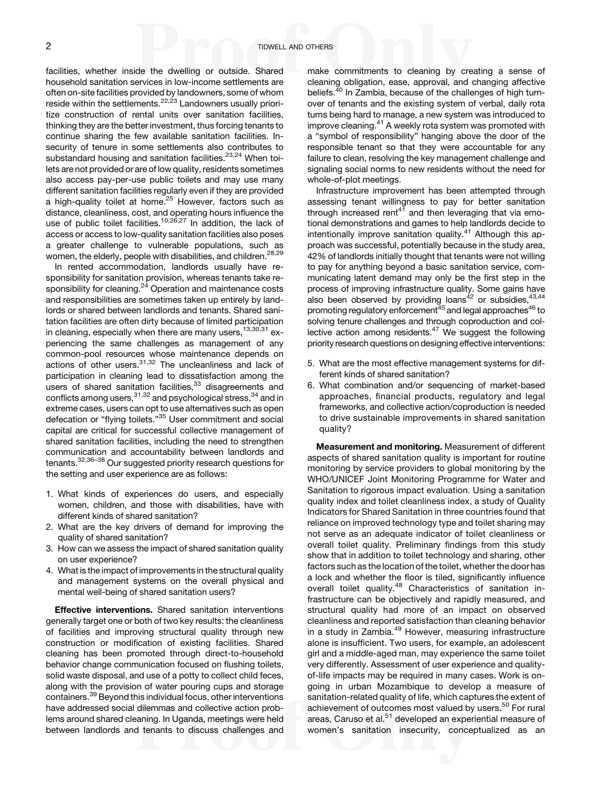facilities, whether inside the dwelling or outside. Shared household sanitation services in low-income settlements are often on-site facilities provided by landowners, some of whom reside within the settlements.<sup>[22](#page-3-0),[23](#page-3-0)</sup> Landowners usually prioritize construction of rental units over sanitation facilities, thinking they are the better investment, thus forcing tenants to continue sharing the few available sanitation facilities. Insecurity of tenure in some settlements also contributes to substandard housing and sanitation facilities.<sup>[23](#page-3-0),[24](#page-3-0)</sup> When toilets are not provided or are of low quality, residents sometimes also access pay-per-use public toilets and may use many different sanitation facilities regularly even if they are provided a high-quality toilet at home.<sup>[25](#page-3-0)</sup> However, factors such as distance, cleanliness, cost, and operating hours influence the use of public toilet facilities.<sup>[10](#page-2-0),[26,27](#page-3-0)</sup> In addition, the lack of access or access to low-quality sanitation facilities also poses a greater challenge to vulnerable populations, such as women, the elderly, people with disabilities, and children.<sup>[28,29](#page-3-0)</sup>

In rented accommodation, landlords usually have responsibility for sanitation provision, whereas tenants take re-sponsibility for cleaning.<sup>[24](#page-3-0)</sup> Operation and maintenance costs and responsibilities are sometimes taken up entirely by landlords or shared between landlords and tenants. Shared sanitation facilities are often dirty because of limited participation in cleaning, especially when there are many users,  $13,30,31$  $13,30,31$  experiencing the same challenges as management of any common-pool resources whose maintenance depends on actions of other users.<sup>[31,32](#page-3-0)</sup> The uncleanliness and lack of participation in cleaning lead to dissatisfaction among the users of shared sanitation facilities,<sup>[33](#page-3-0)</sup> disagreements and conflicts among users, [31](#page-3-0),[32](#page-3-0) and psychological stress, 34 and in extreme cases, users can opt to use alternatives such as open defecation or "flying toilets."<sup>[35](#page-3-0)</sup> User commitment and social capital are critical for successful collective management of shared sanitation facilities, including the need to strengthen communication and accountability between landlords and tenants[.32,36](#page-3-0)–[38](#page-3-0) Our suggested priority research questions for the setting and user experience are as follows:

- 1. What kinds of experiences do users, and especially women, children, and those with disabilities, have with different kinds of shared sanitation?
- 2. What are the key drivers of demand for improving the quality of shared sanitation?
- 3. How can we assess the impact of shared sanitation quality on user experience?
- 4. What is the impact of improvements in the structural quality and management systems on the overall physical and mental well-being of shared sanitation users?

Effective interventions. Shared sanitation interventions generally target one or both of two key results: the cleanliness of facilities and improving structural quality through new construction or modification of existing facilities. Shared cleaning has been promoted through direct-to-household behavior change communication focused on flushing toilets, solid waste disposal, and use of a potty to collect child feces, along with the provision of water pouring cups and storage containers.[39](#page-3-0) Beyond this individual focus, other interventions have addressed social dilemmas and collective action problems around shared cleaning. In Uganda, meetings were held between landlords and tenants to discuss challenges and make commitments to cleaning by creating a sense of cleaning obligation, ease, approval, and changing affective beliefs.<sup>[40](#page-3-0)</sup> In Zambia, because of the challenges of high turnover of tenants and the existing system of verbal, daily rota turns being hard to manage, a new system was introduced to improve cleaning.<sup>[41](#page-3-0)</sup> A weekly rota system was promoted with a "symbol of responsibility" hanging above the door of the responsible tenant so that they were accountable for any failure to clean, resolving the key management challenge and signaling social norms to new residents without the need for whole-of-plot meetings.

Infrastructure improvement has been attempted through assessing tenant willingness to pay for better sanitation through increased rent<sup>[41](#page-3-0)</sup> and then leveraging that via emotional demonstrations and games to help landlords decide to intentionally improve sanitation quality.<sup>[41](#page-3-0)</sup> Although this approach was successful, potentially because in the study area, 42% of landlords initially thought that tenants were not willing to pay for anything beyond a basic sanitation service, communicating latent demand may only be the first step in the process of improving infrastructure quality. Some gains have also been observed by providing loans<sup>42</sup> or subsidies,  $43,44$ promoting regulatory enforcement<sup>45</sup> and legal approaches<sup>46</sup> to solving tenure challenges and through coproduction and collective action among residents. $47$  We suggest the following priority research questions on designing effective interventions:

- 5. What are the most effective management systems for different kinds of shared sanitation?
- 6. What combination and/or sequencing of market-based approaches, financial products, regulatory and legal frameworks, and collective action/coproduction is needed to drive sustainable improvements in shared sanitation quality?

Measurement and monitoring. Measurement of different aspects of shared sanitation quality is important for routine monitoring by service providers to global monitoring by the WHO/UNICEF Joint Monitoring Programme for Water and Sanitation to rigorous impact evaluation. Using a sanitation quality index and toilet cleanliness index, a study of Quality Indicators for Shared Sanitation in three countries found that reliance on improved technology type and toilet sharing may not serve as an adequate indicator of toilet cleanliness or overall toilet quality. Preliminary findings from this study show that in addition to toilet technology and sharing, other factors such as the location of the toilet, whether the door has a lock and whether the floor is tiled, significantly influence overall toilet quality.<sup>[48](#page-3-0)</sup> Characteristics of sanitation infrastructure can be objectively and rapidly measured, and structural quality had more of an impact on observed cleanliness and reported satisfaction than cleaning behavior in a study in Zambia.<sup>[49](#page-3-0)</sup> However, measuring infrastructure alone is insufficient. Two users, for example, an adolescent girl and a middle-aged man, may experience the same toilet very differently. Assessment of user experience and qualityof-life impacts may be required in many cases. Work is ongoing in urban Mozambique to develop a measure of sanitation-related quality of life, which captures the extent of achievement of outcomes most valued by users.<sup>[50](#page-3-0)</sup> For rural areas, Caruso et al.<sup>[51](#page-3-0)</sup> developed an experiential measure of women's sanitation insecurity, conceptualized as an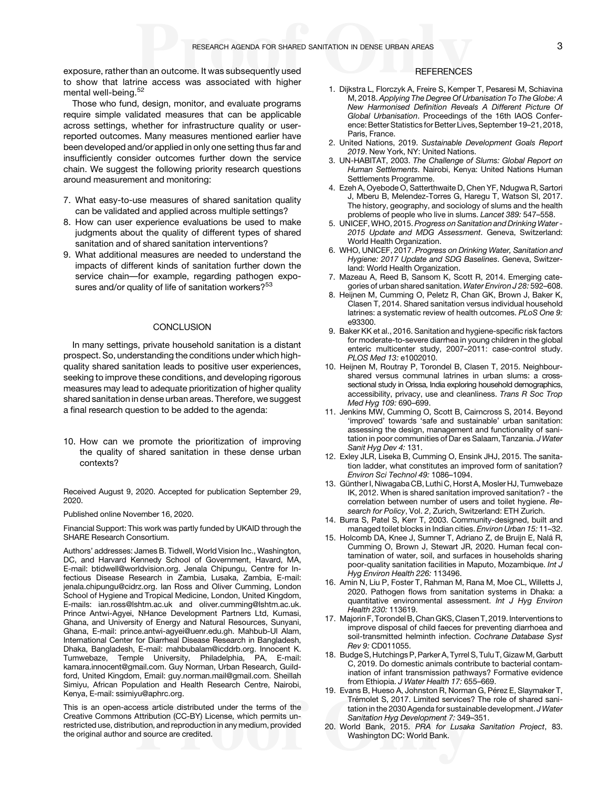<span id="page-2-0"></span>exposure, rather than an outcome. It was subsequently used to show that latrine access was associated with higher mental well-being.<sup>[52](#page-3-0)</sup>

Those who fund, design, monitor, and evaluate programs require simple validated measures that can be applicable across settings, whether for infrastructure quality or userreported outcomes. Many measures mentioned earlier have been developed and/or applied in only one setting thus far and insufficiently consider outcomes further down the service chain. We suggest the following priority research questions around measurement and monitoring:

- 7. What easy-to-use measures of shared sanitation quality can be validated and applied across multiple settings?
- 8. How can user experience evaluations be used to make judgments about the quality of different types of shared sanitation and of shared sanitation interventions?
- 9. What additional measures are needed to understand the impacts of different kinds of sanitation further down the service chain—for example, regarding pathogen expo-sures and/or quality of life of sanitation workers?<sup>[53](#page-3-0)</sup>

#### **CONCLUSION**

In many settings, private household sanitation is a distant prospect. So, understanding the conditions under which highquality shared sanitation leads to positive user experiences, seeking to improve these conditions, and developing rigorous measures may lead to adequate prioritization of higher quality shared sanitation in dense urban areas. Therefore, we suggest a final research question to be added to the agenda:

10. How can we promote the prioritization of improving the quality of shared sanitation in these dense urban contexts?

Received August 9, 2020. Accepted for publication September 29, 2020.

Published online November 16, 2020.

Financial Support: This work was partly funded by UKAID through the SHARE Research Consortium.

Authors' addresses: James B. Tidwell, World Vision Inc., Washington, DC, and Harvard Kennedy School of Government, Havard, MA, E-mail: [btidwell@worldvision.org](mailto:btidwell@worldvision.org). Jenala Chipungu, Centre for Infectious Disease Research in Zambia, Lusaka, Zambia, E-mail: [jenala.chipungu@cidrz.org](mailto:jenala.chipungu@cidrz.org). Ian Ross and Oliver Cumming, London School of Hygiene and Tropical Medicine, London, United Kingdom, E-mails: [ian.ross@lshtm.ac.uk](mailto:ian.ross@lshtm.ac.uk) and [oliver.cumming@lshtm.ac.uk.](mailto:oliver.cumming@lshtm.ac.uk) Prince Antwi-Agyei, NHance Development Partners Ltd, Kumasi, Ghana, and University of Energy and Natural Resources, Sunyani, Ghana, E-mail: [prince.antwi-agyei@uenr.edu.gh.](mailto:prince.antwi-agyei@uenr.edu.gh) Mahbub-Ul Alam, International Center for Diarrheal Disease Research in Bangladesh, Dhaka, Bangladesh, E-mail: [mahbubalam@icddrb.org.](mailto:mahbubalam@icddrb.org) Innocent K. Tumwebaze, Temple University, Philadelphia, PA, E-mail: [kamara.innocent@gmail.com](mailto:kamara.innocent@gmail.com). Guy Norman, Urban Research, Guildford, United Kingdom, Email: [guy.norman.mail@gmail.com](mailto:guy.norman.mail@gmail.com). Sheillah Simiyu, African Population and Health Research Centre, Nairobi, Kenya, E-mail: [ssimiyu@aphrc.org](mailto:ssimiyu@aphrc.org).

This is an open-access article distributed under the terms of the [Creative Commons Attribution \(CC-BY\) License](https://creativecommons.org/licenses/by/4.0/), which permits unrestricted use, distribution, and reproduction in any medium, provided the original author and source are credited.

#### **REFERENCES**

- 1. Dijkstra L, Florczyk A, Freire S, Kemper T, Pesaresi M, Schiavina M, 2018. Applying The Degree Of Urbanisation To The Globe: A New Harmonised Definition Reveals A Different Picture Of Global Urbanisation. Proceedings of the 16th IAOS Conference: Better Statistics for Better Lives, September 19–21, 2018, Paris, France.
- 2. United Nations, 2019. Sustainable Development Goals Report 2019. New York, NY: United Nations.
- 3. UN-HABITAT, 2003. The Challenge of Slums: Global Report on Human Settlements. Nairobi, Kenya: United Nations Human Settlements Programme.
- 4. Ezeh A, Oyebode O, Satterthwaite D, Chen YF, Ndugwa R, Sartori J, Mberu B, Melendez-Torres G, Haregu T, Watson SI, 2017. The history, geography, and sociology of slums and the health problems of people who live in slums. Lancet 389: 547–558.
- 5. UNICEF, WHO, 2015. Progress on Sanitation and Drinking Water 2015 Update and MDG Assessment. Geneva, Switzerland: World Health Organization.
- 6. WHO, UNICEF, 2017. Progress on Drinking Water, Sanitation and Hygiene: 2017 Update and SDG Baselines. Geneva, Switzerland: World Health Organization.
- 7. Mazeau A, Reed B, Sansom K, Scott R, 2014. Emerging categories of urban shared sanitation. Water Environ J 28: 592–608.
- 8. Heijnen M, Cumming O, Peletz R, Chan GK, Brown J, Baker K, Clasen T, 2014. Shared sanitation versus individual household latrines: a systematic review of health outcomes. PLoS One 9: e93300.
- 9. Baker KK et al., 2016. Sanitation and hygiene-specific risk factors for moderate-to-severe diarrhea in young children in the global enteric multicenter study, 2007–2011: case-control study. PLOS Med 13: e1002010.
- 10. Heijnen M, Routray P, Torondel B, Clasen T, 2015. Neighbourshared versus communal latrines in urban slums: a crosssectional study in Orissa, India exploring household demographics, accessibility, privacy, use and cleanliness. Trans R Soc Trop Med Hyg 109: 690–699.
- 11. Jenkins MW, Cumming O, Scott B, Cairncross S, 2014. Beyond 'improved' towards 'safe and sustainable' urban sanitation: assessing the design, management and functionality of sanitation in poor communities of Dar es Salaam, Tanzania. J Water Sanit Hyg Dev 4: 131.
- 12. Exley JLR, Liseka B, Cumming O, Ensink JHJ, 2015. The sanitation ladder, what constitutes an improved form of sanitation? Environ Sci Technol 49: 1086–1094.
- 13. Günther I, Niwagaba CB, Luthi C, Horst A, Mosler HJ, Tumwebaze IK, 2012. When is shared sanitation improved sanitation? - the correlation between number of users and toilet hygiene. Research for Policy, Vol. 2, Zurich, Switzerland: ETH Zurich.
- 14. Burra S, Patel S, Kerr T, 2003. Community-designed, built and managed toilet blocks in Indian cities. Environ Urban 15: 11–32.
- 15. Holcomb DA, Knee J, Sumner T, Adriano Z, de Bruijn E, Nalá R, Cumming O, Brown J, Stewart JR, 2020. Human fecal contamination of water, soil, and surfaces in households sharing poor-quality sanitation facilities in Maputo, Mozambique. Int J Hyg Environ Health 226: 113496.
- 16. Amin N, Liu P, Foster T, Rahman M, Rana M, Moe CL, Willetts J, 2020. Pathogen flows from sanitation systems in Dhaka: a quantitative environmental assessment. Int J Hyg Environ Health 230: 113619.
- 17. Majorin F, Torondel B, Chan GKS, Clasen T, 2019. Interventions to improve disposal of child faeces for preventing diarrhoea and soil-transmitted helminth infection. Cochrane Database Syst Rev 9: CD011055.
- 18. Budge S, Hutchings P, Parker A, Tyrrel S, Tulu T, Gizaw M, Garbutt C, 2019. Do domestic animals contribute to bacterial contamination of infant transmission pathways? Formative evidence from Ethiopia. J Water Health 17: 655-669.
- 19. Evans B, Hueso A, Johnston R, Norman G, Pérez E, Slaymaker T, Trémolet S, 2017. Limited services? The role of shared sanitation in the 2030 Agenda for sustainable development. J Water Sanitation Hyg Development 7: 349–351.
- 20. World Bank, 2015. PRA for Lusaka Sanitation Project, 83. Washington DC: World Bank.